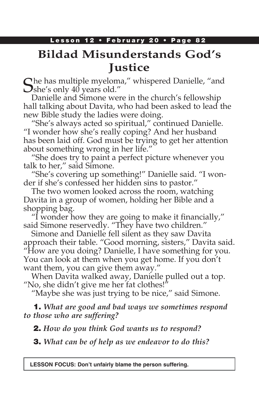# **Bildad Misunderstands God's Justice**

 $\mathbb C$  he has multiple myeloma," whispered Danielle, "and  $\bigcup$ she's only 40 years old."

Danielle and Simone were in the church's fellowship hall talking about Davita, who had been asked to lead the new Bible study the ladies were doing.

"She's always acted so spiritual," continued Danielle. "I wonder how she's really coping? And her husband has been laid off. God must be trying to get her attention about something wrong in her life."

"She does try to paint a perfect picture whenever you talk to her," said Simone.

"She's covering up something!" Danielle said. "I wonder if she's confessed her hidden sins to pastor."

The two women looked across the room, watching Davita in a group of women, holding her Bible and a shopping bag.

"I wonder how they are going to make it financially," said Simone reservedly. "They have two children."

Simone and Danielle fell silent as they saw Davita approach their table. "Good morning, sisters," Davita said. "How are you doing? Danielle, I have something for you. You can look at them when you get home. If you don't want them, you can give them away."

When Davita walked away, Danielle pulled out a top. "No, she didn't give me her fat clothes!"

"Maybe she was just trying to be nice," said Simone.

1. *What are good and bad ways we sometimes respond to those who are suffering?*

2. *How do you think God wants us to respond?*

3. *What can be of help as we endeavor to do this?*

**LESSON FOCUS: Don't unfairly blame the person suffering.**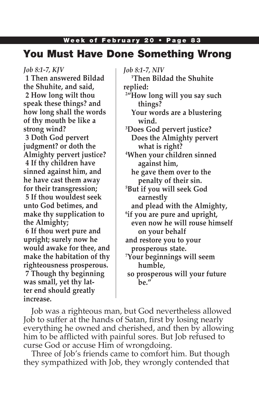# You Must Have Done Something Wrong

*Job 8:1-7, KJV*

**1 Then answered Bildad the Shuhite, and said, 2 How long wilt thou speak these things? and how long shall the words of thy mouth be like a strong wind?**

**3 Doth God pervert judgment? or doth the Almighty pervert justice? 4 If thy children have sinned against him, and he have cast them away for their transgression; 5 If thou wouldest seek unto God betimes, and make thy supplication to the Almighty;**

**6 If thou wert pure and upright; surely now he would awake for thee, and make the habitation of thy righteousness prosperous. 7 Though thy beginning was small, yet thy latter end should greatly increase.**

*Job 8:1-7, NIV* **1 Then Bildad the Shuhite replied: 2 "How long will you say such things? Your words are a blustering wind. 3 Does God pervert justice? Does the Almighty pervert what is right? 4 When your children sinned against him, he gave them over to the penalty of their sin. 5 But if you will seek God earnestly and plead with the Almighty, 6 if you are pure and upright, even now he will rouse himself on your behalf and restore you to your prosperous state. 7 Your beginnings will seem humble, so prosperous will your future be."**

Job was a righteous man, but God nevertheless allowed Job to suffer at the hands of Satan, first by losing nearly everything he owned and cherished, and then by allowing him to be afflicted with painful sores. But Job refused to curse God or accuse Him of wrongdoing.

Three of Job's friends came to comfort him. But though they sympathized with Job, they wrongly contended that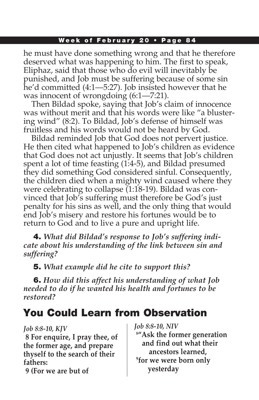he must have done something wrong and that he therefore deserved what was happening to him. The first to speak, Eliphaz, said that those who do evil will inevitably be punished, and Job must be suffering because of some sin he'd committed (4:1—5:27). Job insisted however that he was innocent of wrongdoing  $(6:1 - 7:21)$ .

Then Bildad spoke, saying that Job's claim of innocence was without merit and that his words were like "a blustering wind" (8:2). To Bildad, Job's defense of himself was fruitless and his words would not be heard by God.

Bildad reminded Job that God does not pervert justice. He then cited what happened to Job's children as evidence that God does not act unjustly. It seems that Job's children spent a lot of time feasting (1:4-5), and Bildad presumed they did something God considered sinful. Consequently, the children died when a mighty wind caused where they were celebrating to collapse (1:18-19). Bildad was convinced that Job's suffering must therefore be God's just penalty for his sins as well, and the only thing that would end Job's misery and restore his fortunes would be to return to God and to live a pure and upright life.

4. *What did Bildad's response to Job's suffering indicate about his understanding of the link between sin and suffering?*

5. *What example did he cite to support this?*

6. *How did this affect his understanding of what Job needed to do if he wanted his health and fortunes to be restored?*

# You Could Learn from Observation

*Job 8:8-10, KJV*

**8 For enquire, I pray thee, of the former age, and prepare thyself to the search of their fathers:**

**9 (For we are but of** 

*Job 8:8-10, NIV* **8 "Ask the former generation and find out what their ancestors learned, 9 for we were born only yesterday**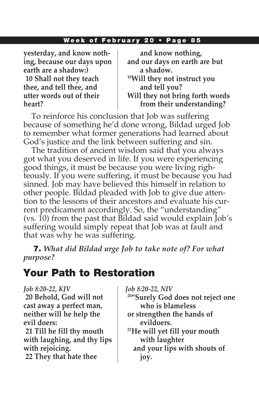**yesterday, and know nothing, because our days upon earth are a shadow:) 10 Shall not they teach thee, and tell thee, and utter words out of their heart?**

 **and know nothing, and our days on earth are but a shadow. 10Will they not instruct you and tell you? Will they not bring forth words from their understanding?**

To reinforce his conclusion that Job was suffering because of something he'd done wrong, Bildad urged Job to remember what former generations had learned about God's justice and the link between suffering and sin.

The tradition of ancient wisdom said that you always got what you deserved in life. If you were experiencing good things, it must be because you were living righteously. If you were suffering, it must be because you had sinned. Job may have believed this himself in relation to other people. Bildad pleaded with Job to give due attention to the lessons of their ancestors and evaluate his current predicament accordingly. So, the "understanding" (vs. 10) from the past that Bildad said would explain Job's suffering would simply repeat that Job was at fault and that was why he was suffering.

7. *What did Bildad urge Job to take note of? For what purpose?*

## Your Path to Restoration

#### *Job 8:20-22, KJV*

**20 Behold, God will not cast away a perfect man, neither will he help the evil doers:**

**21 Till he fill thy mouth with laughing, and thy lips with rejoicing. 22 They that hate thee** 

*Job 8:20-22, NIV*

- **20"Surely God does not reject one who is blameless**
- **or strengthen the hands of evildoers.**

**21He will yet fill your mouth with laughter and your lips with shouts of joy.**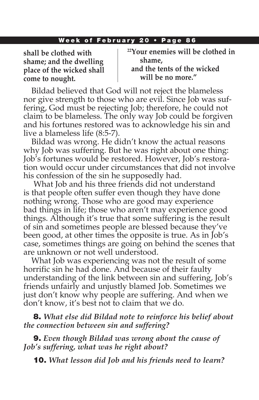**shall be clothed with shame; and the dwelling place of the wicked shall come to nought.**

**22Your enemies will be clothed in shame,** 

 **and the tents of the wicked will be no more."**

Bildad believed that God will not reject the blameless nor give strength to those who are evil. Since Job was suffering, God must be rejecting Job; therefore, he could not claim to be blameless. The only way Job could be forgiven and his fortunes restored was to acknowledge his sin and live a blameless life (8:5-7).

Bildad was wrong. He didn't know the actual reasons why Job was suffering. But he was right about one thing: Job's fortunes would be restored. However, Job's restoration would occur under circumstances that did not involve his confession of the sin he supposedly had.

 What Job and his three friends did not understand is that people often suffer even though they have done nothing wrong. Those who are good may experience bad things in life; those who aren't may experience good things. Although it's true that some suffering is the result of sin and sometimes people are blessed because they've been good, at other times the opposite is true. As in Job's case, sometimes things are going on behind the scenes that are unknown or not well understood.

What Job was experiencing was not the result of some horrific sin he had done. And because of their faulty understanding of the link between sin and suffering, Job's friends unfairly and unjustly blamed Job. Sometimes we just don't know why people are suffering. And when we don't know, it's best not to claim that we do.

8. *What else did Bildad note to reinforce his belief about the connection between sin and suffering?*

9. *Even though Bildad was wrong about the cause of Job's suffering, what was he right about?*

10. *What lesson did Job and his friends need to learn?*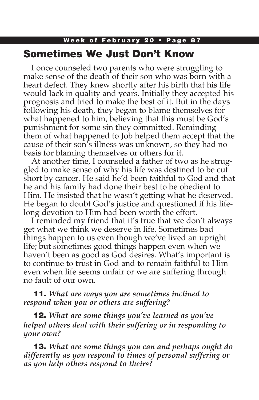### Week of February 20 • Page 87 Sometimes We Just Don't Know

I once counseled two parents who were struggling to make sense of the death of their son who was born with a heart defect. They knew shortly after his birth that his life would lack in quality and years. Initially they accepted his prognosis and tried to make the best of it. But in the days following his death, they began to blame themselves for what happened to him, believing that this must be God's punishment for some sin they committed. Reminding them of what happened to Job helped them accept that the cause of their son's illness was unknown, so they had no basis for blaming themselves or others for it.

At another time, I counseled a father of two as he struggled to make sense of why his life was destined to be cut short by cancer. He said he'd been faithful to God and that he and his family had done their best to be obedient to Him. He insisted that he wasn't getting what he deserved. He began to doubt God's justice and questioned if his lifelong devotion to Him had been worth the effort.

I reminded my friend that it's true that we don't always get what we think we deserve in life. Sometimes bad things happen to us even though we've lived an upright life; but sometimes good things happen even when we haven't been as good as God desires. What's important is to continue to trust in God and to remain faithful to Him even when life seems unfair or we are suffering through no fault of our own.

### 11. *What are ways you are sometimes inclined to respond when you or others are suffering?*

12. *What are some things you've learned as you've helped others deal with their suffering or in responding to your own?*

13. *What are some things you can and perhaps ought do differently as you respond to times of personal suffering or as you help others respond to theirs?*